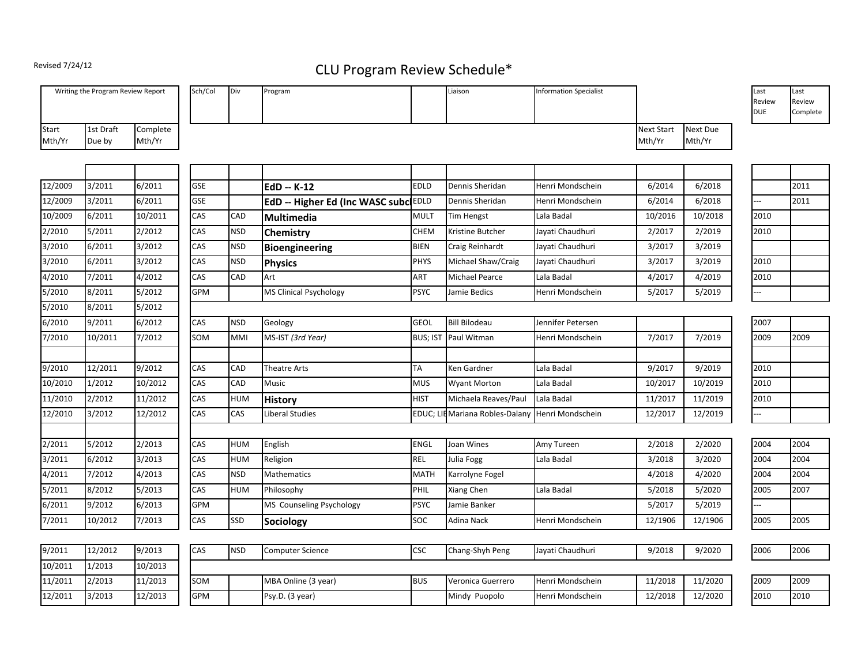## Revised 7/24/12

## CLU Program Review Schedule\*

|                 | Writing the Program Review Report |                    | Sch/Col    | Div        | Program                              |                 | Liaison                        | <b>Information Specialist</b> |                             |                    | Last<br>Review<br><b>DUE</b> | Last<br>Review<br>Complete |
|-----------------|-----------------------------------|--------------------|------------|------------|--------------------------------------|-----------------|--------------------------------|-------------------------------|-----------------------------|--------------------|------------------------------|----------------------------|
| Start<br>Mth/Yr | 1st Draft<br>Due by               | Complete<br>Mth/Yr |            |            |                                      |                 |                                |                               | <b>Next Start</b><br>Mth/Yr | Next Due<br>Mth/Yr |                              |                            |
|                 |                                   |                    |            |            |                                      |                 |                                |                               |                             |                    |                              |                            |
| 12/2009         | 3/2011                            | 6/2011             | <b>GSE</b> |            | EdD -- K-12                          | EDLD            | Dennis Sheridan                | Henri Mondschein              | 6/2014                      | 6/2018             |                              | 2011                       |
| 12/2009         | 3/2011                            | 6/2011             | <b>GSE</b> |            | EdD -- Higher Ed (Inc WASC subc EDLD |                 | Dennis Sheridan                | Henri Mondschein              | 6/2014                      | 6/2018             | L.                           | 2011                       |
| 10/2009         | 6/2011                            | 10/2011            | CAS        | CAD        | Multimedia                           | <b>MULT</b>     | Tim Hengst                     | Lala Badal                    | 10/2016                     | 10/2018            | 2010                         |                            |
| 2/2010          | 5/2011                            | 2/2012             | CAS        | <b>NSD</b> | Chemistry                            | CHEM            | Kristine Butcher               | Jayati Chaudhuri              | 2/2017                      | 2/2019             | 2010                         |                            |
| 3/2010          | 6/2011                            | 3/2012             | CAS        | <b>NSD</b> | Bioengineering                       | <b>BIEN</b>     | Craig Reinhardt                | Jayati Chaudhuri              | 3/2017                      | 3/2019             |                              |                            |
| 3/2010          | 6/2011                            | 3/2012             | CAS        | <b>NSD</b> | <b>Physics</b>                       | PHYS            | Michael Shaw/Craig             | Jayati Chaudhuri              | 3/2017                      | 3/2019             | 2010                         |                            |
| 4/2010          | 7/2011                            | 4/2012             | CAS        | CAD        | Art                                  | ART             | Michael Pearce                 | Lala Badal                    | 4/2017                      | 4/2019             | 2010                         |                            |
| 5/2010          | 8/2011                            | 5/2012             | GPM        |            | <b>MS Clinical Psychology</b>        | <b>PSYC</b>     | Jamie Bedics                   | Henri Mondschein              | 5/2017                      | 5/2019             | --                           |                            |
| 5/2010          | 8/2011                            | 5/2012             |            |            |                                      |                 |                                |                               |                             |                    |                              |                            |
| 6/2010          | 9/2011                            | 6/2012             | CAS        | <b>NSD</b> | Geology                              | <b>GEOL</b>     | <b>Bill Bilodeau</b>           | Jennifer Petersen             |                             |                    | 2007                         |                            |
| 7/2010          | 10/2011                           | 7/2012             | SOM        | MMI        | MS-IST (3rd Year)                    | <b>BUS; IST</b> | Paul Witman                    | Henri Mondschein              | 7/2017                      | 7/2019             | 2009                         | 2009                       |
|                 |                                   |                    |            |            |                                      |                 |                                |                               |                             |                    |                              |                            |
| 9/2010          | 12/2011                           | 9/2012             | CAS        | CAD        | <b>Theatre Arts</b>                  | TA              | Ken Gardner                    | Lala Badal                    | 9/2017                      | 9/2019             | 2010                         |                            |
| 10/2010         | 1/2012                            | 10/2012            | CAS        | CAD        | <b>Music</b>                         | <b>MUS</b>      | <b>Wyant Morton</b>            | Lala Badal                    | 10/2017                     | 10/2019            | 2010                         |                            |
| 11/2010         | 2/2012                            | 11/2012            | CAS        | HUM        | <b>History</b>                       | <b>HIST</b>     | Michaela Reaves/Paul           | Lala Badal                    | 11/2017                     | 11/2019            | 2010                         |                            |
| 12/2010         | 3/2012                            | 12/2012            | CAS        | CAS        | Liberal Studies                      | EDUC; L         | <b>E</b> Mariana Robles-Dalany | Henri Mondschein              | 12/2017                     | 12/2019            | Ξ.                           |                            |
|                 |                                   |                    |            |            |                                      |                 |                                |                               |                             |                    |                              |                            |
| 2/2011          | 5/2012                            | 2/2013             | CAS        | <b>HUM</b> | English                              | ENGL            | Joan Wines                     | Amy Tureen                    | 2/2018                      | 2/2020             | 2004                         | 2004                       |
| 3/2011          | 6/2012                            | 3/2013             | CAS        | <b>HUM</b> | Religion                             | <b>REL</b>      | Julia Fogg                     | Lala Badal                    | 3/2018                      | 3/2020             | 2004                         | 2004                       |
| 4/2011          | 7/2012                            | 4/2013             | CAS        | <b>NSD</b> | <b>Mathematics</b>                   | <b>MATH</b>     | Karrolyne Fogel                |                               | 4/2018                      | 4/2020             | 2004                         | 2004                       |
| 5/2011          | 8/2012                            | 5/2013             | CAS        | HUM        | Philosophy                           | PHIL            | Xiang Chen                     | Lala Badal                    | 5/2018                      | 5/2020             | 2005                         | 2007                       |
| 6/2011          | 9/2012                            | 6/2013             | <b>GPM</b> |            | MS Counseling Psychology             | <b>PSYC</b>     | Jamie Banker                   |                               | 5/2017                      | 5/2019             |                              |                            |
| 7/2011          | 10/2012                           | 7/2013             | CAS        | SSD        | Sociology                            | SOC             | Adina Nack                     | Henri Mondschein              | 12/1906                     | 12/1906            | 2005                         | 2005                       |
|                 |                                   |                    |            |            |                                      |                 |                                |                               |                             |                    |                              |                            |
| 9/2011          | 12/2012                           | 9/2013             | CAS        | <b>NSD</b> | <b>Computer Science</b>              | <b>CSC</b>      | Chang-Shyh Peng                | Jayati Chaudhuri              | 9/2018                      | 9/2020             | 2006                         | 2006                       |
| 10/2011         | 1/2013                            | 10/2013            |            |            |                                      |                 |                                |                               |                             |                    |                              |                            |
| 11/2011         | 2/2013                            | 11/2013            | SOM        |            | MBA Online (3 year)                  | <b>BUS</b>      | Veronica Guerrero              | Henri Mondschein              | 11/2018                     | 11/2020            | 2009                         | 2009                       |
| 12/2011         | 3/2013                            | 12/2013            | <b>GPM</b> |            | Psy.D. (3 year)                      |                 | Mindy Puopolo                  | Henri Mondschein              | 12/2018                     | 12/2020            | 2010                         | 2010                       |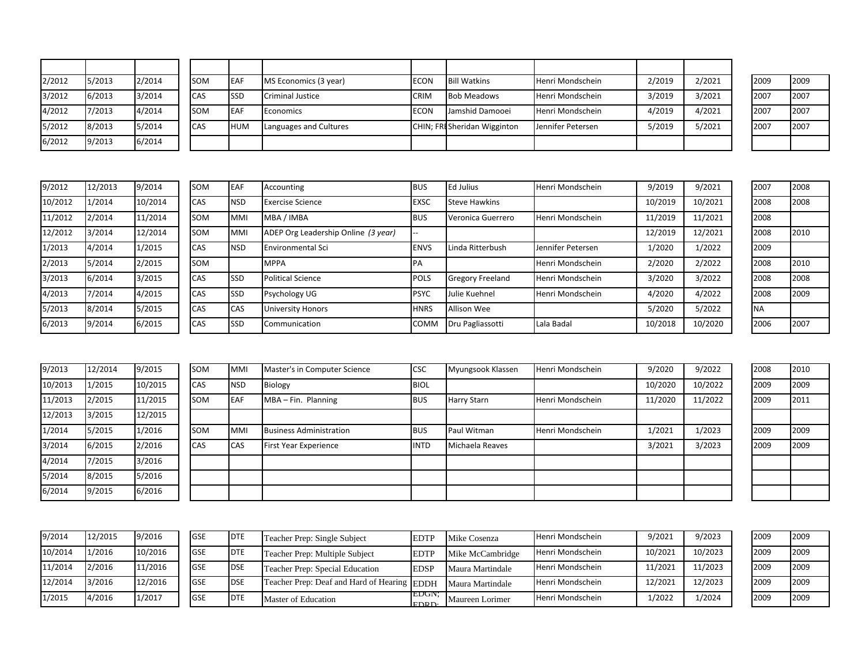| 2/2012 | 5/2013 | 2/2014 | <b>SOM</b> | <b>EAF</b>  | MS Economics (3 year)   | <b>ECON</b> | <b>Bill Watkins</b>          | Henri Mondschein  | 2/2019 | 2/2021 | 2009 | 2009 |
|--------|--------|--------|------------|-------------|-------------------------|-------------|------------------------------|-------------------|--------|--------|------|------|
| 3/2012 | 6/2013 | 3/2014 | <b>CAS</b> | <b>ISSD</b> | <b>Criminal Justice</b> | <b>CRIM</b> | <b>Bob Meadows</b>           | Henri Mondschein  | 3/2019 | 3/2021 | 2007 | 2007 |
| 4/2012 | 7/2013 | 4/2014 | <b>SOM</b> | <b>IEAF</b> | Economics               | <b>ECON</b> | Jamshid Damooei              | Henri Mondschein  | 4/2019 | 4/2021 | 2007 | 2007 |
| 5/2012 | 8/2013 | 5/2014 | <b>CAS</b> | <b>HUM</b>  | Languages and Cultures  |             | CHIN; FRI Sheridan Wigginton | Jennifer Petersen | 5/2019 | 5/2021 | 2007 | 2007 |
| 6/2012 | 9/2013 | 6/2014 |            |             |                         |             |                              |                   |        |        |      |      |

| 9/2012  | 12/2013 | 9/2014  |
|---------|---------|---------|
| 10/2012 | 1/2014  | 10/2014 |
| 11/2012 | 2/2014  | 11/2014 |
| 12/2012 | 3/2014  | 12/2014 |
| 1/2013  | 4/2014  | 1/2015  |
| 2/2013  | 5/2014  | 2/2015  |
| 3/2013  | 6/2014  | 3/2015  |
| 4/2013  | 7/2014  | 4/2015  |
| 5/2013  | 8/2014  | 5/2015  |
| 6/2013  | 9/2014  | 6/2015  |

| 9/2012  | 12/2013 | 9/2014  | <b>SOM</b> | <b>IEAF</b> | Accounting                          | <b>BUS</b>  | Ed Julius               | Henri Mondschein  | 9/2019  | 9/2021  | 2007       | 2008 |
|---------|---------|---------|------------|-------------|-------------------------------------|-------------|-------------------------|-------------------|---------|---------|------------|------|
| 10/2012 | 1/2014  | 10/2014 | CAS        | <b>NSD</b>  | <b>Exercise Science</b>             | <b>EXSC</b> | <b>Steve Hawkins</b>    |                   | 10/2019 | 10/2021 | 2008       | 2008 |
| 11/2012 | 2/2014  | 11/2014 | <b>SOM</b> | <b>MMI</b>  | MBA / IMBA                          | <b>BUS</b>  | Veronica Guerrero       | Henri Mondschein  | 11/2019 | 11/2021 | 2008       |      |
| 12/2012 | 3/2014  | 12/2014 | <b>SOM</b> | <b>MMI</b>  | ADEP Org Leadership Online (3 year) |             |                         |                   | 12/2019 | 12/2021 | 2008       | 2010 |
| 1/2013  | 4/2014  | 1/2015  | CAS        | <b>NSD</b>  | <b>Environmental Sci</b>            | <b>ENVS</b> | Linda Ritterbush        | Jennifer Petersen | 1/2020  | 1/2022  | 2009       |      |
| 2/2013  | 5/2014  | 2/2015  | <b>SOM</b> |             | <b>MPPA</b>                         | <b>IPA</b>  |                         | Henri Mondschein  | 2/2020  | 2/2022  | 2008       | 2010 |
| 3/2013  | 6/2014  | 3/2015  | <b>CAS</b> | <b>ISSD</b> | <b>Political Science</b>            | POLS        | <b>Gregory Freeland</b> | Henri Mondschein  | 3/2020  | 3/2022  | 2008       | 2008 |
| 4/2013  | 7/2014  | 4/2015  | <b>CAS</b> | <b>SSD</b>  | Psychology UG                       | <b>PSYC</b> | lulie Kuehnel           | Henri Mondschein  | 4/2020  | 4/2022  | 2008       | 2009 |
| 5/2013  | 8/2014  | 5/2015  | <b>CAS</b> | <b>CAS</b>  | <b>University Honors</b>            | <b>HNRS</b> | <b>Allison Wee</b>      |                   | 5/2020  | 5/2022  | <b>INA</b> |      |
| 6/2013  | 9/2014  | 6/2015  | CAS        | <b>SSD</b>  | Communication                       | <b>COMM</b> | Dru Pagliassotti        | Lala Badal        | 10/2018 | 10/2020 | 2006       | 2007 |
|         |         |         |            |             |                                     |             |                         |                   |         |         |            |      |

| 2007      | 2008 |
|-----------|------|
| 2008      | 2008 |
| 2008      |      |
| 2008      | 2010 |
| 2009      |      |
| 2008      | 2010 |
| 2008      | 2008 |
| 2008      | 2009 |
| <b>NA</b> |      |
| 2006      | 2007 |

| 9/2013  | 12/2014 | 9/2015  | SOM | <b>MMI</b> | Master's in Computer Science   | <b>CSC</b>  | Myungsook Klassen  | Henri Mondschein | 9/2020  | 9/2022  | 2008 | 2010 |
|---------|---------|---------|-----|------------|--------------------------------|-------------|--------------------|------------------|---------|---------|------|------|
| 10/2013 | 1/2015  | 10/2015 | CAS | <b>NSD</b> | Biology                        | <b>BIOL</b> |                    |                  | 10/2020 | 10/2022 | 2009 | 2009 |
| 11/2013 | 2/2015  | 11/2015 | SOM | <b>EAF</b> | $MBA - Fin.$ Planning          | <b>BUS</b>  | <b>Harry Starn</b> | Henri Mondschein | 11/2020 | 11/2022 | 2009 | 2011 |
| 12/2013 | 3/2015  | 12/2015 |     |            |                                |             |                    |                  |         |         |      |      |
| 1/2014  | 5/2015  | 1/2016  | SOM | <b>MMI</b> | <b>Business Administration</b> | <b>BUS</b>  | Paul Witman        | Henri Mondschein | 1/2021  | 1/2023  | 2009 | 2009 |
| 3/2014  | 6/2015  | 2/2016  | CAS | <b>CAS</b> | <b>First Year Experience</b>   | <b>INTD</b> | Michaela Reaves    |                  | 3/2021  | 3/2023  | 2009 | 2009 |
| 4/2014  | 7/2015  | 3/2016  |     |            |                                |             |                    |                  |         |         |      |      |
| 5/2014  | 8/2015  | 5/2016  |     |            |                                |             |                    |                  |         |         |      |      |
| 6/2014  | 9/2015  | 6/2016  |     |            |                                |             |                    |                  |         |         |      |      |

| 9/2014  | 12/2015 | 9/2016  | <b>GSE</b>  | <b>DTE</b> | Teacher Prep: Single Subject                | <b>EDTP</b>           | Mike Cosenza     | Henri Mondschein | 9/2021  | 9/2023  | 2009 | 2009 |
|---------|---------|---------|-------------|------------|---------------------------------------------|-----------------------|------------------|------------------|---------|---------|------|------|
| 10/2014 | 1/2016  | 10/2016 | <b>IGSE</b> | <b>DTE</b> | Teacher Prep: Multiple Subject              | <b>EDTP</b>           | Mike McCambridge | Henri Mondschein | 10/2021 | 10/2023 | 2009 | 2009 |
| 11/2014 | 2/2016  | 11/2016 | <b>IGSE</b> | <b>DSE</b> | Teacher Prep: Special Education             | <b>EDSP</b>           | Maura Martindale | Henri Mondschein | 11/2021 | 11/2023 | 2009 | 2009 |
| 12/2014 | 3/2016  | 12/2016 | <b>IGSE</b> | <b>DSE</b> | Teacher Prep: Deaf and Hard of Hearing EDDH |                       | Maura Martindale | Henri Mondschein | 12/2021 | 12/2023 | 2009 | 2009 |
| 1/2015  | 4/2016  | 1/2017  | <b>IGSE</b> | <b>DTE</b> | Master of Education                         | TEDGN:<br><b>EDRD</b> | Maureen Lorimer  | Henri Mondschein | ./2022  | 1/2024  | 2009 | 2009 |

| 2009 | 2009 |
|------|------|
| 2009 | 2009 |
| 2009 | 2009 |
|      |      |

- 1